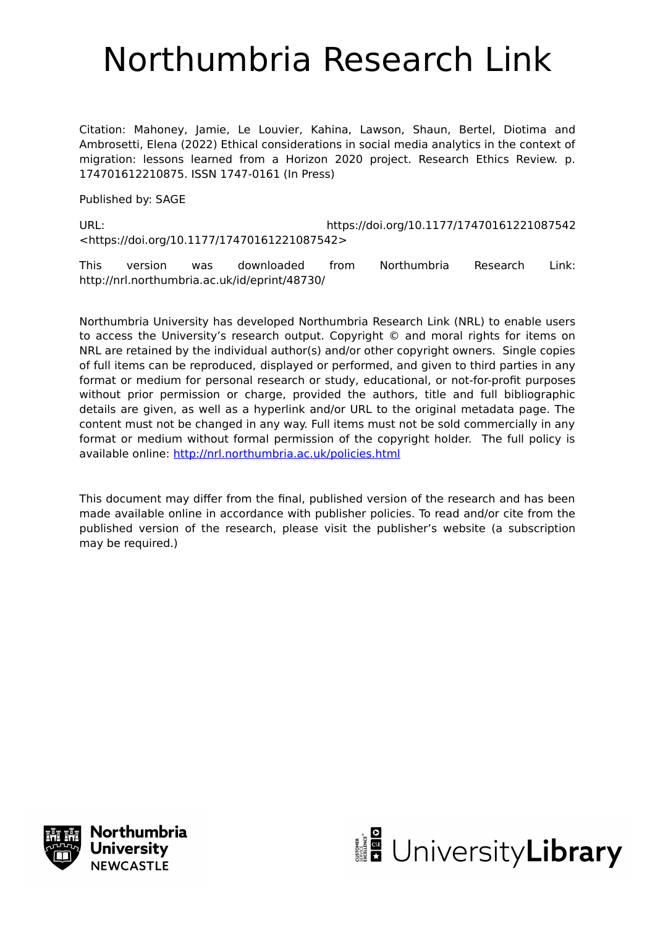# Northumbria Research Link

Citation: Mahoney, Jamie, Le Louvier, Kahina, Lawson, Shaun, Bertel, Diotima and Ambrosetti, Elena (2022) Ethical considerations in social media analytics in the context of migration: lessons learned from a Horizon 2020 project. Research Ethics Review. p. 174701612210875. ISSN 1747-0161 (In Press)

Published by: SAGE

URL: https://doi.org/10.1177/17470161221087542 <https://doi.org/10.1177/17470161221087542>

This version was downloaded from Northumbria Research Link: http://nrl.northumbria.ac.uk/id/eprint/48730/

Northumbria University has developed Northumbria Research Link (NRL) to enable users to access the University's research output. Copyright © and moral rights for items on NRL are retained by the individual author(s) and/or other copyright owners. Single copies of full items can be reproduced, displayed or performed, and given to third parties in any format or medium for personal research or study, educational, or not-for-profit purposes without prior permission or charge, provided the authors, title and full bibliographic details are given, as well as a hyperlink and/or URL to the original metadata page. The content must not be changed in any way. Full items must not be sold commercially in any format or medium without formal permission of the copyright holder. The full policy is available online:<http://nrl.northumbria.ac.uk/policies.html>

This document may differ from the final, published version of the research and has been made available online in accordance with publisher policies. To read and/or cite from the published version of the research, please visit the publisher's website (a subscription may be required.)



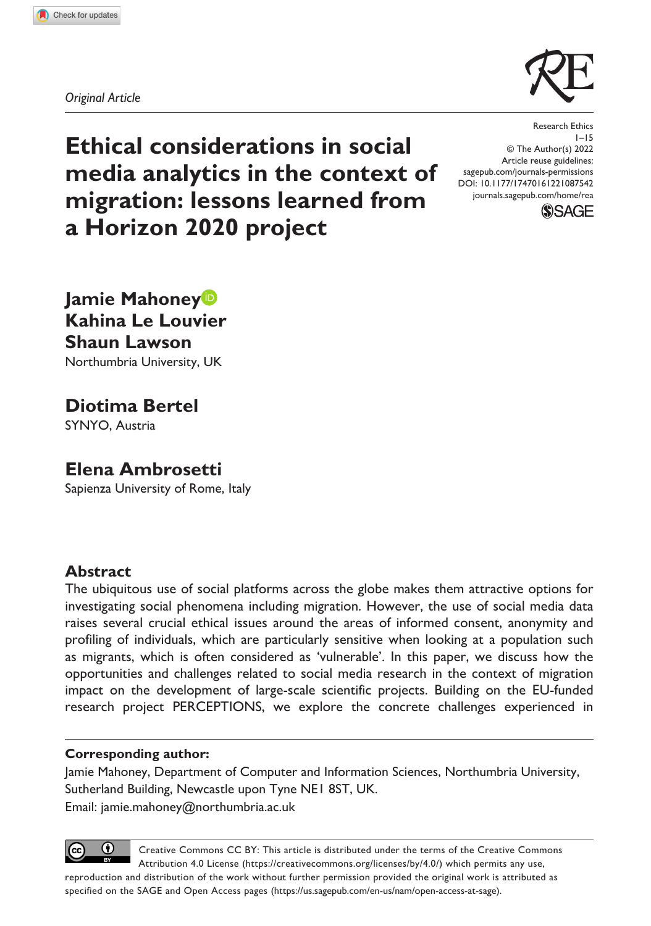

*Original Article*

**Ethical considerations in social media analytics in the context of migration: lessons learned from a Horizon 2020 project**

DOI: 10.1177/17470161221087542 Research Ethics 1–15 © The Author(s) 2022 Article reuse guidelines: [sagepub.com/journals-permissions](https://uk.sagepub.com/en-gb/journals-permissions) [journals.sagepub.com/home/rea](https://journals.sagepub.com/home/rea)



**Jamie Mahoney Kahina Le Louvier Shaun Lawson** Northumbria University, UK

**Diotima Bertel**

SYNYO, Austria

# **Elena Ambrosetti**

Sapienza University of Rome, Italy

## **Abstract**

The ubiquitous use of social platforms across the globe makes them attractive options for investigating social phenomena including migration. However, the use of social media data raises several crucial ethical issues around the areas of informed consent, anonymity and profiling of individuals, which are particularly sensitive when looking at a population such as migrants, which is often considered as 'vulnerable'. In this paper, we discuss how the opportunities and challenges related to social media research in the context of migration impact on the development of large-scale scientific projects. Building on the EU-funded research project PERCEPTIONS, we explore the concrete challenges experienced in

#### **Corresponding author:**

Jamie Mahoney, Department of Computer and Information Sciences, Northumbria University, Sutherland Building, Newcastle upon Tyne NE1 8ST, UK. Email: [jamie.mahoney@northumbria.ac.uk](mailto:jamie.mahoney@northumbria.ac.uk)

 $^{\circ}$ Creative Commons CC BY: This article is distributed under the terms of the Creative Commons Attribution 4.0 License (https://creativecommons.org/licenses/by/4.0/) which permits any use, reproduction and distribution of the work without further permission provided the original work is attributed as specified on the SAGE and Open Access pages (https://us.sagepub.com/en-us/nam/open-access-at-sage).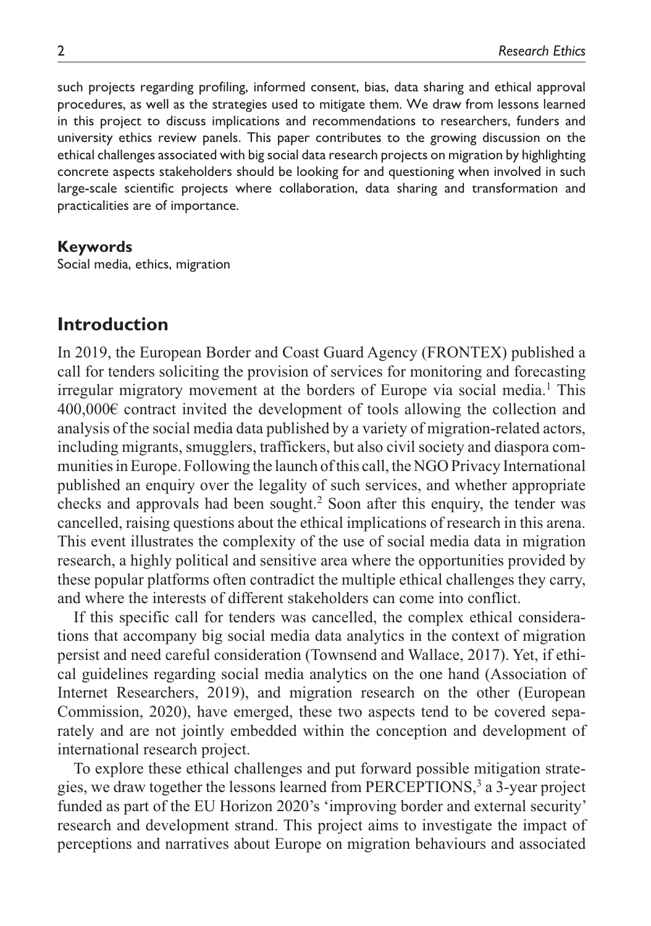such projects regarding profiling, informed consent, bias, data sharing and ethical approval procedures, as well as the strategies used to mitigate them. We draw from lessons learned in this project to discuss implications and recommendations to researchers, funders and university ethics review panels. This paper contributes to the growing discussion on the ethical challenges associated with big social data research projects on migration by highlighting concrete aspects stakeholders should be looking for and questioning when involved in such large-scale scientific projects where collaboration, data sharing and transformation and practicalities are of importance.

#### **Keywords**

Social media, ethics, migration

## **Introduction**

In 2019, the European Border and Coast Guard Agency (FRONTEX) published a call for tenders soliciting the provision of services for monitoring and forecasting irregular migratory movement at the borders of Europe via social media.<sup>1</sup> This 400,000€ contract invited the development of tools allowing the collection and analysis of the social media data published by a variety of migration-related actors, including migrants, smugglers, traffickers, but also civil society and diaspora communities in Europe. Following the launch of this call, the NGO Privacy International published an enquiry over the legality of such services, and whether appropriate checks and approvals had been sought.<sup>2</sup> Soon after this enquiry, the tender was cancelled, raising questions about the ethical implications of research in this arena. This event illustrates the complexity of the use of social media data in migration research, a highly political and sensitive area where the opportunities provided by these popular platforms often contradict the multiple ethical challenges they carry, and where the interests of different stakeholders can come into conflict.

If this specific call for tenders was cancelled, the complex ethical considerations that accompany big social media data analytics in the context of migration persist and need careful consideration (Townsend and Wallace, 2017). Yet, if ethical guidelines regarding social media analytics on the one hand (Association of Internet Researchers, 2019), and migration research on the other (European Commission, 2020), have emerged, these two aspects tend to be covered separately and are not jointly embedded within the conception and development of international research project.

To explore these ethical challenges and put forward possible mitigation strategies, we draw together the lessons learned from PERCEPTIONS,<sup>3</sup> a 3-year project funded as part of the EU Horizon 2020's 'improving border and external security' research and development strand. This project aims to investigate the impact of perceptions and narratives about Europe on migration behaviours and associated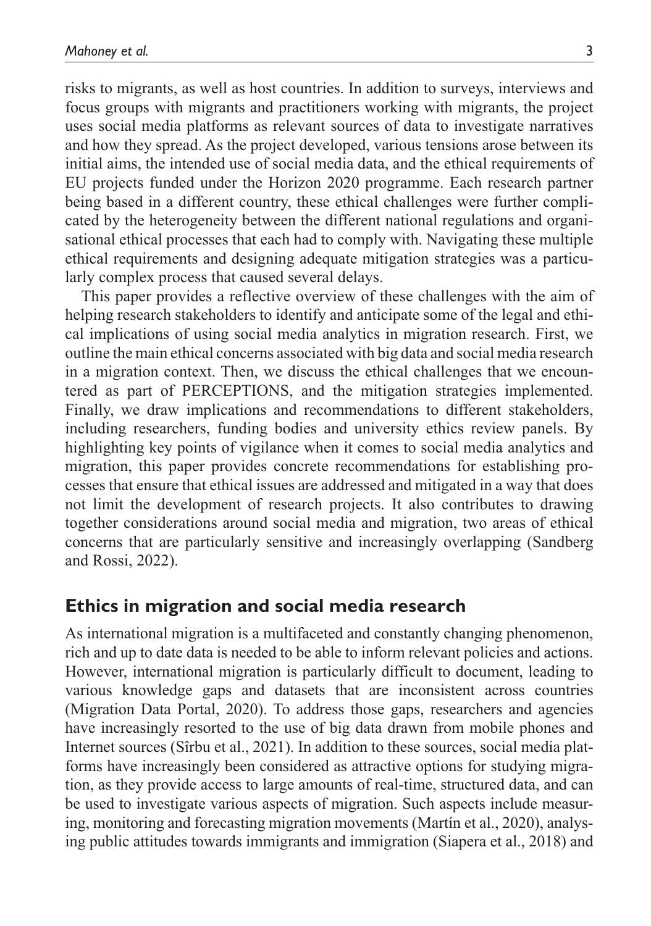risks to migrants, as well as host countries. In addition to surveys, interviews and focus groups with migrants and practitioners working with migrants, the project uses social media platforms as relevant sources of data to investigate narratives and how they spread. As the project developed, various tensions arose between its initial aims, the intended use of social media data, and the ethical requirements of EU projects funded under the Horizon 2020 programme. Each research partner being based in a different country, these ethical challenges were further complicated by the heterogeneity between the different national regulations and organisational ethical processes that each had to comply with. Navigating these multiple ethical requirements and designing adequate mitigation strategies was a particularly complex process that caused several delays.

This paper provides a reflective overview of these challenges with the aim of helping research stakeholders to identify and anticipate some of the legal and ethical implications of using social media analytics in migration research. First, we outline the main ethical concerns associated with big data and social media research in a migration context. Then, we discuss the ethical challenges that we encountered as part of PERCEPTIONS, and the mitigation strategies implemented. Finally, we draw implications and recommendations to different stakeholders, including researchers, funding bodies and university ethics review panels. By highlighting key points of vigilance when it comes to social media analytics and migration, this paper provides concrete recommendations for establishing processes that ensure that ethical issues are addressed and mitigated in a way that does not limit the development of research projects. It also contributes to drawing together considerations around social media and migration, two areas of ethical concerns that are particularly sensitive and increasingly overlapping (Sandberg and Rossi, 2022).

## **Ethics in migration and social media research**

As international migration is a multifaceted and constantly changing phenomenon, rich and up to date data is needed to be able to inform relevant policies and actions. However, international migration is particularly difficult to document, leading to various knowledge gaps and datasets that are inconsistent across countries (Migration Data Portal, 2020). To address those gaps, researchers and agencies have increasingly resorted to the use of big data drawn from mobile phones and Internet sources (Sîrbu et al., 2021). In addition to these sources, social media platforms have increasingly been considered as attractive options for studying migration, as they provide access to large amounts of real-time, structured data, and can be used to investigate various aspects of migration. Such aspects include measuring, monitoring and forecasting migration movements (Martín et al., 2020), analysing public attitudes towards immigrants and immigration (Siapera et al., 2018) and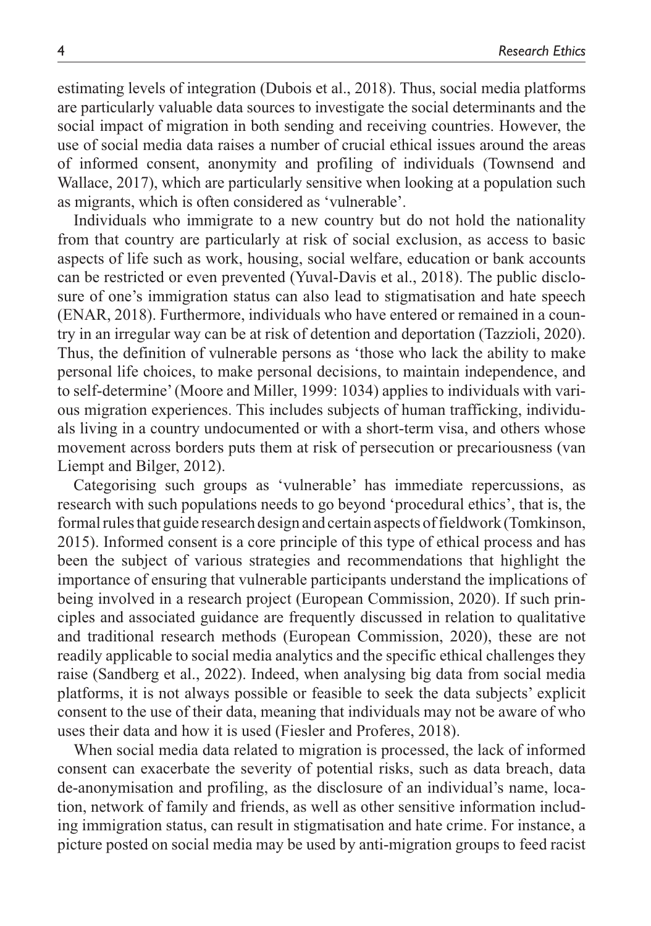estimating levels of integration (Dubois et al., 2018). Thus, social media platforms are particularly valuable data sources to investigate the social determinants and the social impact of migration in both sending and receiving countries. However, the use of social media data raises a number of crucial ethical issues around the areas of informed consent, anonymity and profiling of individuals (Townsend and Wallace, 2017), which are particularly sensitive when looking at a population such as migrants, which is often considered as 'vulnerable'.

Individuals who immigrate to a new country but do not hold the nationality from that country are particularly at risk of social exclusion, as access to basic aspects of life such as work, housing, social welfare, education or bank accounts can be restricted or even prevented (Yuval-Davis et al., 2018). The public disclosure of one's immigration status can also lead to stigmatisation and hate speech (ENAR, 2018). Furthermore, individuals who have entered or remained in a country in an irregular way can be at risk of detention and deportation (Tazzioli, 2020). Thus, the definition of vulnerable persons as 'those who lack the ability to make personal life choices, to make personal decisions, to maintain independence, and to self-determine' (Moore and Miller, 1999: 1034) applies to individuals with various migration experiences. This includes subjects of human trafficking, individuals living in a country undocumented or with a short-term visa, and others whose movement across borders puts them at risk of persecution or precariousness (van Liempt and Bilger, 2012).

Categorising such groups as 'vulnerable' has immediate repercussions, as research with such populations needs to go beyond 'procedural ethics', that is, the formal rules that guide research design and certain aspects of fieldwork (Tomkinson, 2015). Informed consent is a core principle of this type of ethical process and has been the subject of various strategies and recommendations that highlight the importance of ensuring that vulnerable participants understand the implications of being involved in a research project (European Commission, 2020). If such principles and associated guidance are frequently discussed in relation to qualitative and traditional research methods (European Commission, 2020), these are not readily applicable to social media analytics and the specific ethical challenges they raise (Sandberg et al., 2022). Indeed, when analysing big data from social media platforms, it is not always possible or feasible to seek the data subjects' explicit consent to the use of their data, meaning that individuals may not be aware of who uses their data and how it is used (Fiesler and Proferes, 2018).

When social media data related to migration is processed, the lack of informed consent can exacerbate the severity of potential risks, such as data breach, data de-anonymisation and profiling, as the disclosure of an individual's name, location, network of family and friends, as well as other sensitive information including immigration status, can result in stigmatisation and hate crime. For instance, a picture posted on social media may be used by anti-migration groups to feed racist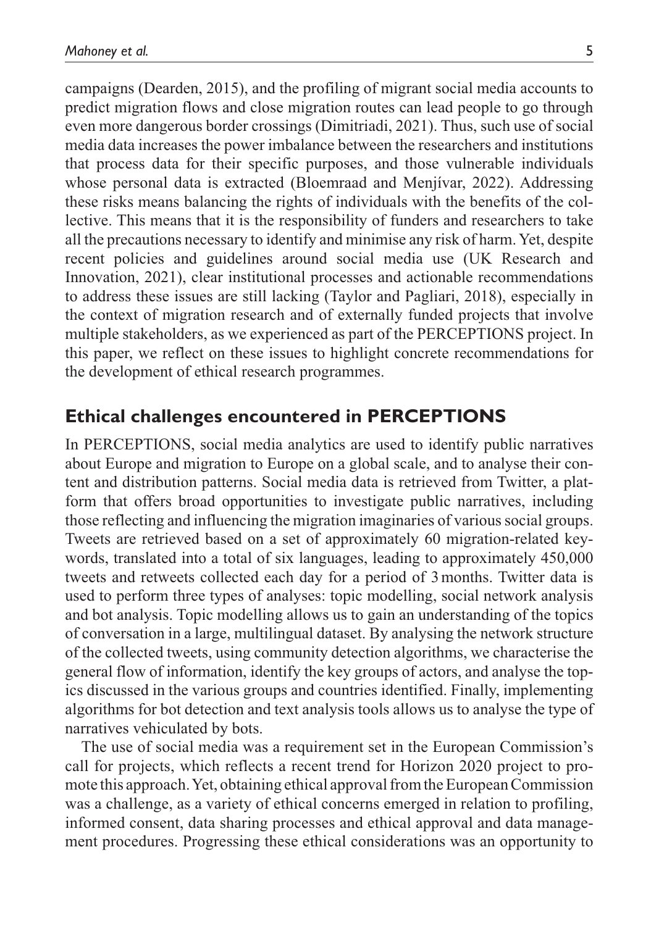campaigns (Dearden, 2015), and the profiling of migrant social media accounts to predict migration flows and close migration routes can lead people to go through even more dangerous border crossings (Dimitriadi, 2021). Thus, such use of social media data increases the power imbalance between the researchers and institutions that process data for their specific purposes, and those vulnerable individuals whose personal data is extracted (Bloemraad and Menjívar, 2022). Addressing these risks means balancing the rights of individuals with the benefits of the collective. This means that it is the responsibility of funders and researchers to take all the precautions necessary to identify and minimise any risk of harm. Yet, despite recent policies and guidelines around social media use (UK Research and Innovation, 2021), clear institutional processes and actionable recommendations to address these issues are still lacking (Taylor and Pagliari, 2018), especially in the context of migration research and of externally funded projects that involve multiple stakeholders, as we experienced as part of the PERCEPTIONS project. In this paper, we reflect on these issues to highlight concrete recommendations for the development of ethical research programmes.

## **Ethical challenges encountered in PERCEPTIONS**

In PERCEPTIONS, social media analytics are used to identify public narratives about Europe and migration to Europe on a global scale, and to analyse their content and distribution patterns. Social media data is retrieved from Twitter, a platform that offers broad opportunities to investigate public narratives, including those reflecting and influencing the migration imaginaries of various social groups. Tweets are retrieved based on a set of approximately 60 migration-related keywords, translated into a total of six languages, leading to approximately 450,000 tweets and retweets collected each day for a period of 3months. Twitter data is used to perform three types of analyses: topic modelling, social network analysis and bot analysis. Topic modelling allows us to gain an understanding of the topics of conversation in a large, multilingual dataset. By analysing the network structure of the collected tweets, using community detection algorithms, we characterise the general flow of information, identify the key groups of actors, and analyse the topics discussed in the various groups and countries identified. Finally, implementing algorithms for bot detection and text analysis tools allows us to analyse the type of narratives vehiculated by bots.

The use of social media was a requirement set in the European Commission's call for projects, which reflects a recent trend for Horizon 2020 project to promote this approach. Yet, obtaining ethical approval from the European Commission was a challenge, as a variety of ethical concerns emerged in relation to profiling, informed consent, data sharing processes and ethical approval and data management procedures. Progressing these ethical considerations was an opportunity to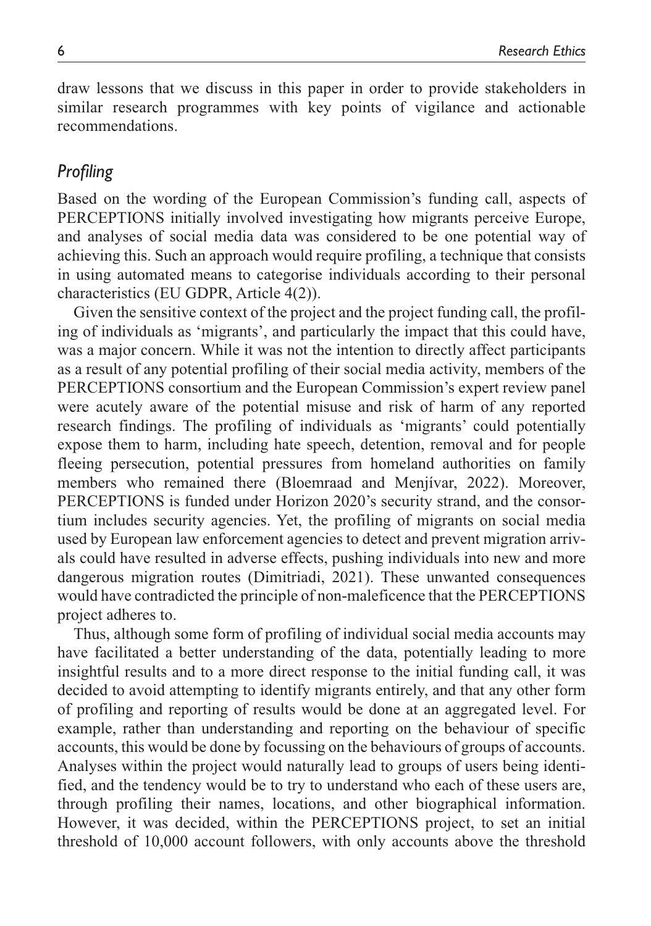draw lessons that we discuss in this paper in order to provide stakeholders in similar research programmes with key points of vigilance and actionable recommendations.

## *Profiling*

Based on the wording of the European Commission's funding call, aspects of PERCEPTIONS initially involved investigating how migrants perceive Europe, and analyses of social media data was considered to be one potential way of achieving this. Such an approach would require profiling, a technique that consists in using automated means to categorise individuals according to their personal characteristics (EU GDPR, Article 4(2)).

Given the sensitive context of the project and the project funding call, the profiling of individuals as 'migrants', and particularly the impact that this could have, was a major concern. While it was not the intention to directly affect participants as a result of any potential profiling of their social media activity, members of the PERCEPTIONS consortium and the European Commission's expert review panel were acutely aware of the potential misuse and risk of harm of any reported research findings. The profiling of individuals as 'migrants' could potentially expose them to harm, including hate speech, detention, removal and for people fleeing persecution, potential pressures from homeland authorities on family members who remained there (Bloemraad and Menjívar, 2022). Moreover, PERCEPTIONS is funded under Horizon 2020's security strand, and the consortium includes security agencies. Yet, the profiling of migrants on social media used by European law enforcement agencies to detect and prevent migration arrivals could have resulted in adverse effects, pushing individuals into new and more dangerous migration routes (Dimitriadi, 2021). These unwanted consequences would have contradicted the principle of non-maleficence that the PERCEPTIONS project adheres to.

Thus, although some form of profiling of individual social media accounts may have facilitated a better understanding of the data, potentially leading to more insightful results and to a more direct response to the initial funding call, it was decided to avoid attempting to identify migrants entirely, and that any other form of profiling and reporting of results would be done at an aggregated level. For example, rather than understanding and reporting on the behaviour of specific accounts, this would be done by focussing on the behaviours of groups of accounts. Analyses within the project would naturally lead to groups of users being identified, and the tendency would be to try to understand who each of these users are, through profiling their names, locations, and other biographical information. However, it was decided, within the PERCEPTIONS project, to set an initial threshold of 10,000 account followers, with only accounts above the threshold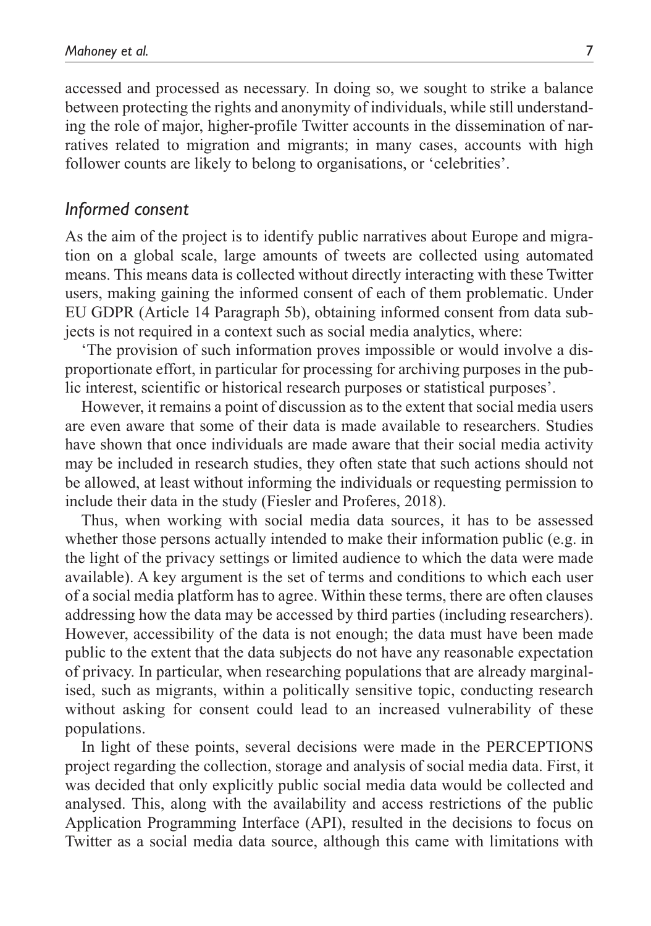accessed and processed as necessary. In doing so, we sought to strike a balance between protecting the rights and anonymity of individuals, while still understanding the role of major, higher-profile Twitter accounts in the dissemination of narratives related to migration and migrants; in many cases, accounts with high follower counts are likely to belong to organisations, or 'celebrities'.

## *Informed consent*

As the aim of the project is to identify public narratives about Europe and migration on a global scale, large amounts of tweets are collected using automated means. This means data is collected without directly interacting with these Twitter users, making gaining the informed consent of each of them problematic. Under EU GDPR (Article 14 Paragraph 5b), obtaining informed consent from data subjects is not required in a context such as social media analytics, where:

'The provision of such information proves impossible or would involve a disproportionate effort, in particular for processing for archiving purposes in the public interest, scientific or historical research purposes or statistical purposes'.

However, it remains a point of discussion as to the extent that social media users are even aware that some of their data is made available to researchers. Studies have shown that once individuals are made aware that their social media activity may be included in research studies, they often state that such actions should not be allowed, at least without informing the individuals or requesting permission to include their data in the study (Fiesler and Proferes, 2018).

Thus, when working with social media data sources, it has to be assessed whether those persons actually intended to make their information public (e.g. in the light of the privacy settings or limited audience to which the data were made available). A key argument is the set of terms and conditions to which each user of a social media platform has to agree. Within these terms, there are often clauses addressing how the data may be accessed by third parties (including researchers). However, accessibility of the data is not enough; the data must have been made public to the extent that the data subjects do not have any reasonable expectation of privacy. In particular, when researching populations that are already marginalised, such as migrants, within a politically sensitive topic, conducting research without asking for consent could lead to an increased vulnerability of these populations.

In light of these points, several decisions were made in the PERCEPTIONS project regarding the collection, storage and analysis of social media data. First, it was decided that only explicitly public social media data would be collected and analysed. This, along with the availability and access restrictions of the public Application Programming Interface (API), resulted in the decisions to focus on Twitter as a social media data source, although this came with limitations with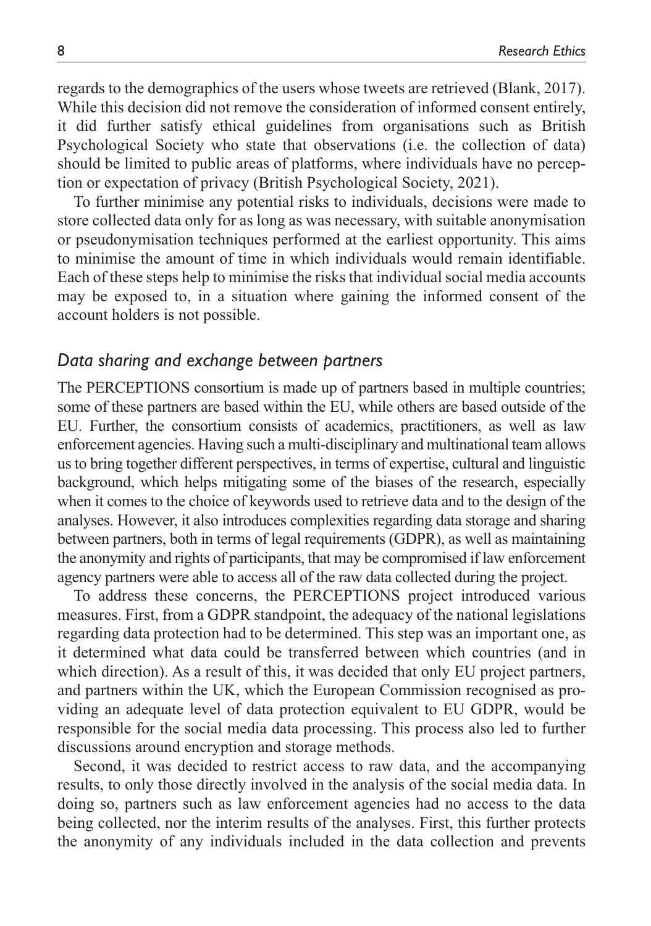regards to the demographics of the users whose tweets are retrieved (Blank, 2017). While this decision did not remove the consideration of informed consent entirely, it did further satisfy ethical guidelines from organisations such as British Psychological Society who state that observations (i.e. the collection of data) should be limited to public areas of platforms, where individuals have no perception or expectation of privacy (British Psychological Society, 2021).

To further minimise any potential risks to individuals, decisions were made to store collected data only for as long as was necessary, with suitable anonymisation or pseudonymisation techniques performed at the earliest opportunity. This aims to minimise the amount of time in which individuals would remain identifiable. Each of these steps help to minimise the risks that individual social media accounts may be exposed to, in a situation where gaining the informed consent of the account holders is not possible.

## *Data sharing and exchange between partners*

The PERCEPTIONS consortium is made up of partners based in multiple countries; some of these partners are based within the EU, while others are based outside of the EU. Further, the consortium consists of academics, practitioners, as well as law enforcement agencies. Having such a multi-disciplinary and multinational team allows us to bring together different perspectives, in terms of expertise, cultural and linguistic background, which helps mitigating some of the biases of the research, especially when it comes to the choice of keywords used to retrieve data and to the design of the analyses. However, it also introduces complexities regarding data storage and sharing between partners, both in terms of legal requirements (GDPR), as well as maintaining the anonymity and rights of participants, that may be compromised if law enforcement agency partners were able to access all of the raw data collected during the project.

To address these concerns, the PERCEPTIONS project introduced various measures. First, from a GDPR standpoint, the adequacy of the national legislations regarding data protection had to be determined. This step was an important one, as it determined what data could be transferred between which countries (and in which direction). As a result of this, it was decided that only EU project partners, and partners within the UK, which the European Commission recognised as providing an adequate level of data protection equivalent to EU GDPR, would be responsible for the social media data processing. This process also led to further discussions around encryption and storage methods.

Second, it was decided to restrict access to raw data, and the accompanying results, to only those directly involved in the analysis of the social media data. In doing so, partners such as law enforcement agencies had no access to the data being collected, nor the interim results of the analyses. First, this further protects the anonymity of any individuals included in the data collection and prevents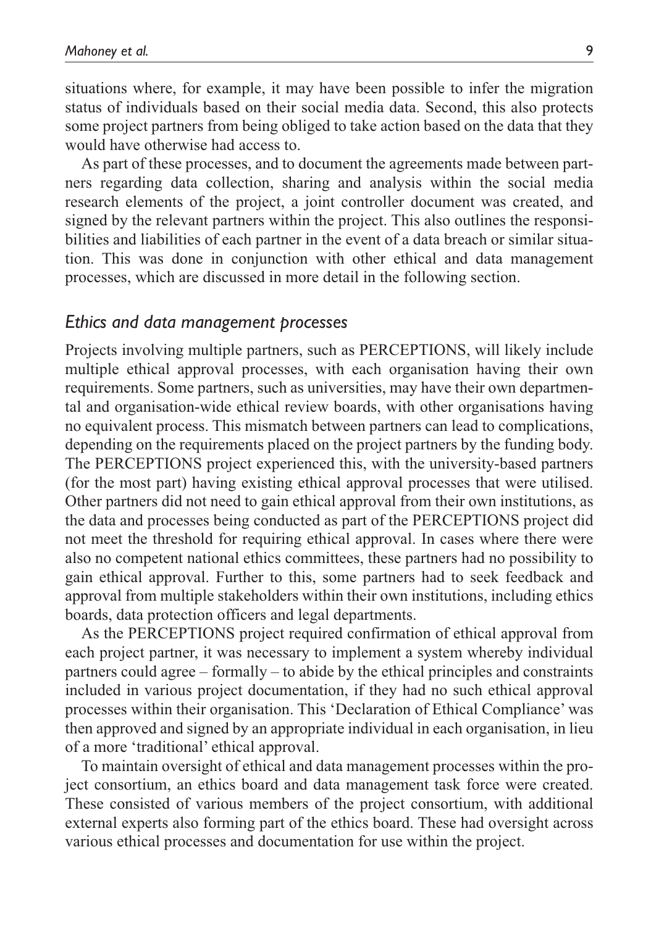situations where, for example, it may have been possible to infer the migration status of individuals based on their social media data. Second, this also protects some project partners from being obliged to take action based on the data that they would have otherwise had access to.

As part of these processes, and to document the agreements made between partners regarding data collection, sharing and analysis within the social media research elements of the project, a joint controller document was created, and signed by the relevant partners within the project. This also outlines the responsibilities and liabilities of each partner in the event of a data breach or similar situation. This was done in conjunction with other ethical and data management processes, which are discussed in more detail in the following section.

#### *Ethics and data management processes*

Projects involving multiple partners, such as PERCEPTIONS, will likely include multiple ethical approval processes, with each organisation having their own requirements. Some partners, such as universities, may have their own departmental and organisation-wide ethical review boards, with other organisations having no equivalent process. This mismatch between partners can lead to complications, depending on the requirements placed on the project partners by the funding body. The PERCEPTIONS project experienced this, with the university-based partners (for the most part) having existing ethical approval processes that were utilised. Other partners did not need to gain ethical approval from their own institutions, as the data and processes being conducted as part of the PERCEPTIONS project did not meet the threshold for requiring ethical approval. In cases where there were also no competent national ethics committees, these partners had no possibility to gain ethical approval. Further to this, some partners had to seek feedback and approval from multiple stakeholders within their own institutions, including ethics boards, data protection officers and legal departments.

As the PERCEPTIONS project required confirmation of ethical approval from each project partner, it was necessary to implement a system whereby individual partners could agree – formally – to abide by the ethical principles and constraints included in various project documentation, if they had no such ethical approval processes within their organisation. This 'Declaration of Ethical Compliance' was then approved and signed by an appropriate individual in each organisation, in lieu of a more 'traditional' ethical approval.

To maintain oversight of ethical and data management processes within the project consortium, an ethics board and data management task force were created. These consisted of various members of the project consortium, with additional external experts also forming part of the ethics board. These had oversight across various ethical processes and documentation for use within the project.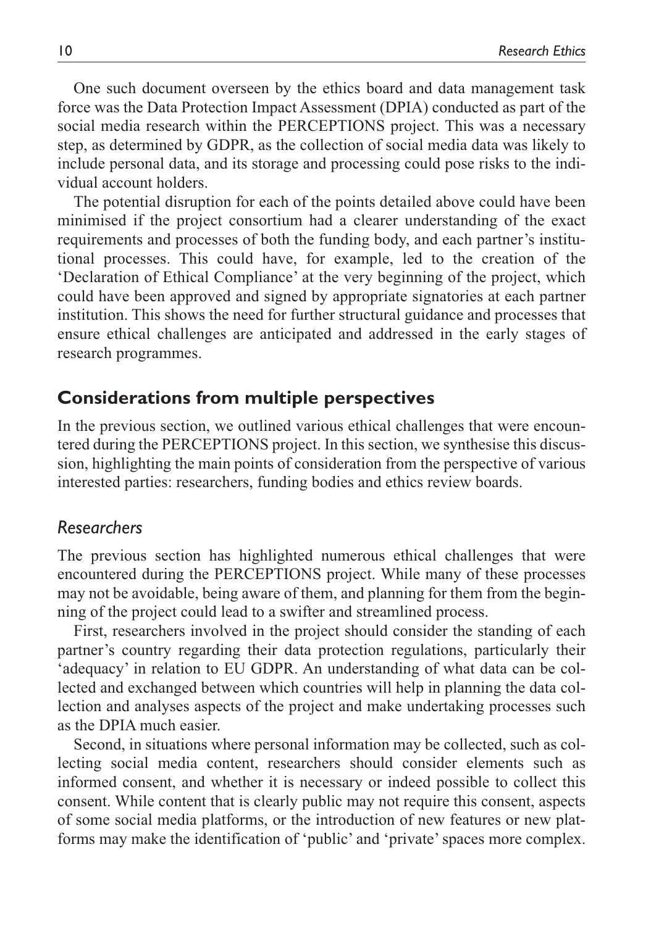One such document overseen by the ethics board and data management task force was the Data Protection Impact Assessment (DPIA) conducted as part of the social media research within the PERCEPTIONS project. This was a necessary step, as determined by GDPR, as the collection of social media data was likely to include personal data, and its storage and processing could pose risks to the individual account holders.

The potential disruption for each of the points detailed above could have been minimised if the project consortium had a clearer understanding of the exact requirements and processes of both the funding body, and each partner's institutional processes. This could have, for example, led to the creation of the 'Declaration of Ethical Compliance' at the very beginning of the project, which could have been approved and signed by appropriate signatories at each partner institution. This shows the need for further structural guidance and processes that ensure ethical challenges are anticipated and addressed in the early stages of research programmes.

## **Considerations from multiple perspectives**

In the previous section, we outlined various ethical challenges that were encountered during the PERCEPTIONS project. In this section, we synthesise this discussion, highlighting the main points of consideration from the perspective of various interested parties: researchers, funding bodies and ethics review boards.

## *Researchers*

The previous section has highlighted numerous ethical challenges that were encountered during the PERCEPTIONS project. While many of these processes may not be avoidable, being aware of them, and planning for them from the beginning of the project could lead to a swifter and streamlined process.

First, researchers involved in the project should consider the standing of each partner's country regarding their data protection regulations, particularly their 'adequacy' in relation to EU GDPR. An understanding of what data can be collected and exchanged between which countries will help in planning the data collection and analyses aspects of the project and make undertaking processes such as the DPIA much easier.

Second, in situations where personal information may be collected, such as collecting social media content, researchers should consider elements such as informed consent, and whether it is necessary or indeed possible to collect this consent. While content that is clearly public may not require this consent, aspects of some social media platforms, or the introduction of new features or new platforms may make the identification of 'public' and 'private' spaces more complex.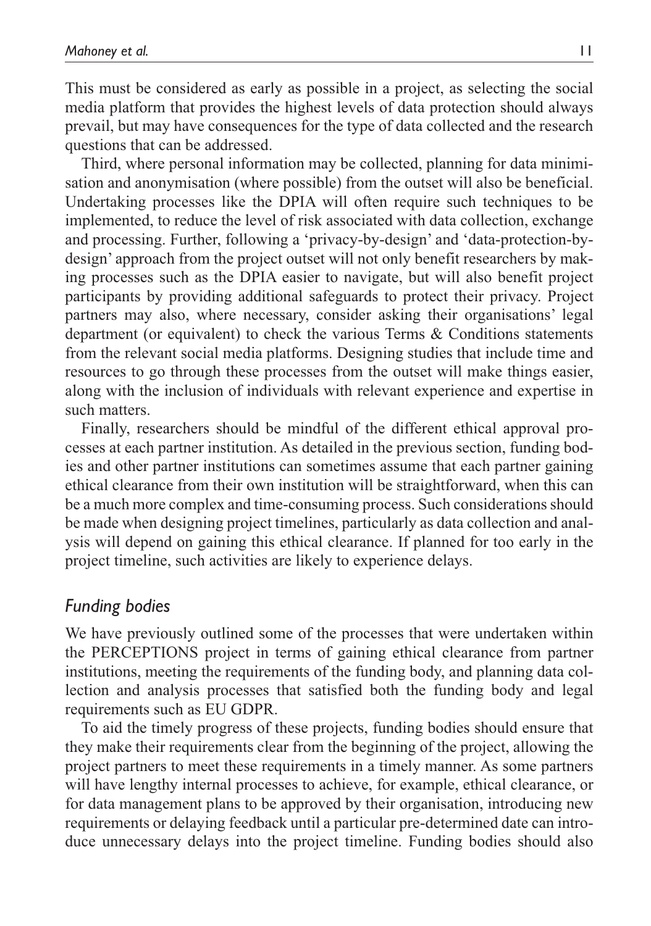This must be considered as early as possible in a project, as selecting the social media platform that provides the highest levels of data protection should always prevail, but may have consequences for the type of data collected and the research questions that can be addressed.

Third, where personal information may be collected, planning for data minimisation and anonymisation (where possible) from the outset will also be beneficial. Undertaking processes like the DPIA will often require such techniques to be implemented, to reduce the level of risk associated with data collection, exchange and processing. Further, following a 'privacy-by-design' and 'data-protection-bydesign' approach from the project outset will not only benefit researchers by making processes such as the DPIA easier to navigate, but will also benefit project participants by providing additional safeguards to protect their privacy. Project partners may also, where necessary, consider asking their organisations' legal department (or equivalent) to check the various Terms & Conditions statements from the relevant social media platforms. Designing studies that include time and resources to go through these processes from the outset will make things easier, along with the inclusion of individuals with relevant experience and expertise in such matters.

Finally, researchers should be mindful of the different ethical approval processes at each partner institution. As detailed in the previous section, funding bodies and other partner institutions can sometimes assume that each partner gaining ethical clearance from their own institution will be straightforward, when this can be a much more complex and time-consuming process. Such considerations should be made when designing project timelines, particularly as data collection and analysis will depend on gaining this ethical clearance. If planned for too early in the project timeline, such activities are likely to experience delays.

### *Funding bodies*

We have previously outlined some of the processes that were undertaken within the PERCEPTIONS project in terms of gaining ethical clearance from partner institutions, meeting the requirements of the funding body, and planning data collection and analysis processes that satisfied both the funding body and legal requirements such as EU GDPR.

To aid the timely progress of these projects, funding bodies should ensure that they make their requirements clear from the beginning of the project, allowing the project partners to meet these requirements in a timely manner. As some partners will have lengthy internal processes to achieve, for example, ethical clearance, or for data management plans to be approved by their organisation, introducing new requirements or delaying feedback until a particular pre-determined date can introduce unnecessary delays into the project timeline. Funding bodies should also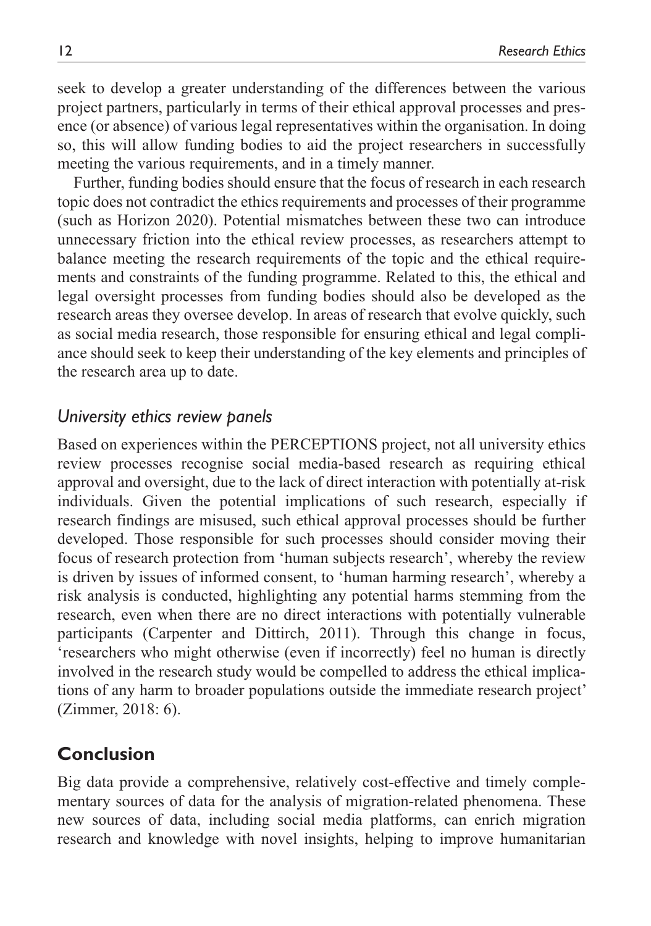seek to develop a greater understanding of the differences between the various project partners, particularly in terms of their ethical approval processes and presence (or absence) of various legal representatives within the organisation. In doing so, this will allow funding bodies to aid the project researchers in successfully meeting the various requirements, and in a timely manner.

Further, funding bodies should ensure that the focus of research in each research topic does not contradict the ethics requirements and processes of their programme (such as Horizon 2020). Potential mismatches between these two can introduce unnecessary friction into the ethical review processes, as researchers attempt to balance meeting the research requirements of the topic and the ethical requirements and constraints of the funding programme. Related to this, the ethical and legal oversight processes from funding bodies should also be developed as the research areas they oversee develop. In areas of research that evolve quickly, such as social media research, those responsible for ensuring ethical and legal compliance should seek to keep their understanding of the key elements and principles of the research area up to date.

## *University ethics review panels*

Based on experiences within the PERCEPTIONS project, not all university ethics review processes recognise social media-based research as requiring ethical approval and oversight, due to the lack of direct interaction with potentially at-risk individuals. Given the potential implications of such research, especially if research findings are misused, such ethical approval processes should be further developed. Those responsible for such processes should consider moving their focus of research protection from 'human subjects research', whereby the review is driven by issues of informed consent, to 'human harming research', whereby a risk analysis is conducted, highlighting any potential harms stemming from the research, even when there are no direct interactions with potentially vulnerable participants (Carpenter and Dittirch, 2011). Through this change in focus, 'researchers who might otherwise (even if incorrectly) feel no human is directly involved in the research study would be compelled to address the ethical implications of any harm to broader populations outside the immediate research project' (Zimmer, 2018: 6).

# **Conclusion**

Big data provide a comprehensive, relatively cost-effective and timely complementary sources of data for the analysis of migration-related phenomena. These new sources of data, including social media platforms, can enrich migration research and knowledge with novel insights, helping to improve humanitarian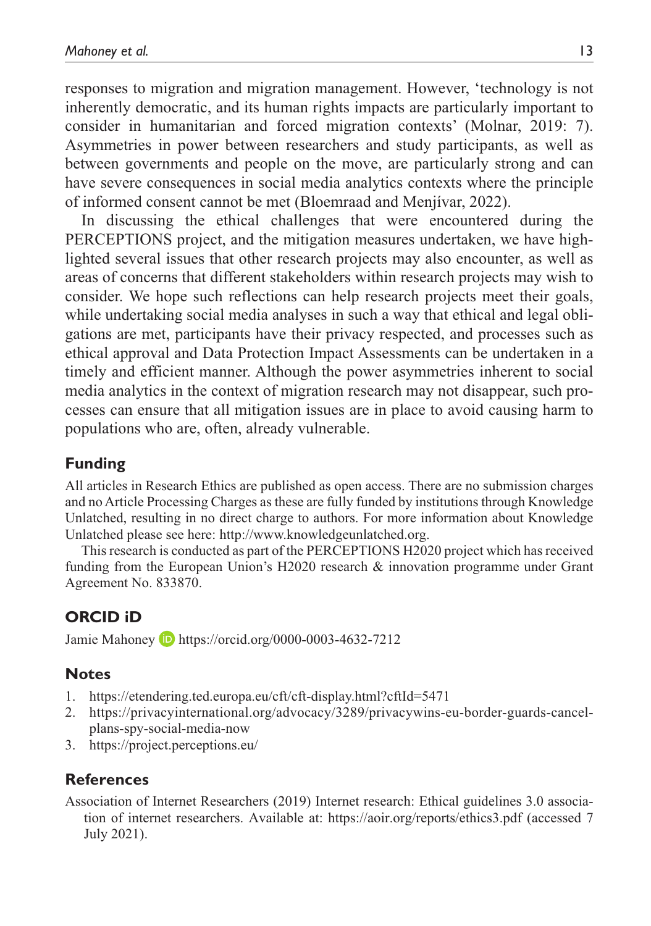responses to migration and migration management. However, 'technology is not inherently democratic, and its human rights impacts are particularly important to consider in humanitarian and forced migration contexts' (Molnar, 2019: 7). Asymmetries in power between researchers and study participants, as well as between governments and people on the move, are particularly strong and can have severe consequences in social media analytics contexts where the principle of informed consent cannot be met (Bloemraad and Menjívar, 2022).

In discussing the ethical challenges that were encountered during the PERCEPTIONS project, and the mitigation measures undertaken, we have highlighted several issues that other research projects may also encounter, as well as areas of concerns that different stakeholders within research projects may wish to consider. We hope such reflections can help research projects meet their goals, while undertaking social media analyses in such a way that ethical and legal obligations are met, participants have their privacy respected, and processes such as ethical approval and Data Protection Impact Assessments can be undertaken in a timely and efficient manner. Although the power asymmetries inherent to social media analytics in the context of migration research may not disappear, such processes can ensure that all mitigation issues are in place to avoid causing harm to populations who are, often, already vulnerable.

## **Funding**

All articles in Research Ethics are published as open access. There are no submission charges and no Article Processing Charges as these are fully funded by institutions through Knowledge Unlatched, resulting in no direct charge to authors. For more information about Knowledge Unlatched please see here: [http://www.knowledgeunlatched.org.](http://www.knowledgeunlatched.org)

This research is conducted as part of the PERCEPTIONS H2020 project which has received funding from the European Union's H2020 research & innovation programme under Grant Agreement No. 833870.

# **ORCID iD**

Jamie Mahoney D <https://orcid.org/0000-0003-4632-7212>

## **Notes**

- 1. <https://etendering.ted.europa.eu/cft/cft-display.html?cftId=5471>
- 2. [https://privacyinternational.org/advocacy/3289/privacywins-eu-border-guards-cancel](https://privacyinternational.org/advocacy/3289/privacywins-eu-border-guards-cancel-plans-spy-social-media-now)[plans-spy-social-media-now](https://privacyinternational.org/advocacy/3289/privacywins-eu-border-guards-cancel-plans-spy-social-media-now)
- 3. <https://project.perceptions.eu/>

## **References**

Association of Internet Researchers (2019) Internet research: Ethical guidelines 3.0 association of internet researchers. Available at: <https://aoir.org/reports/ethics3.pdf> (accessed 7 July 2021).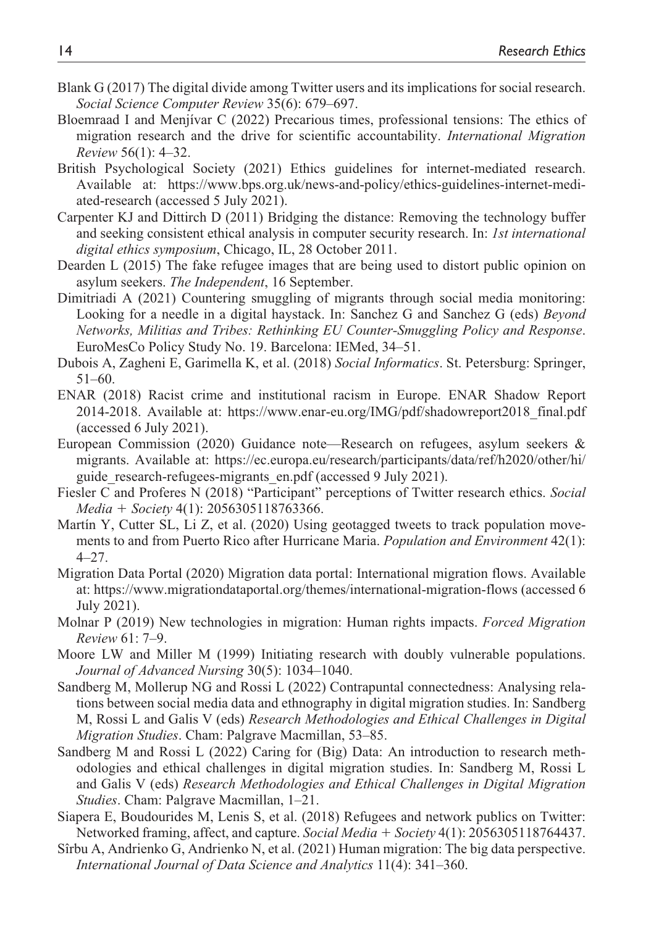- Blank G (2017) The digital divide among Twitter users and its implications for social research. *Social Science Computer Review* 35(6): 679–697.
- Bloemraad I and Menjívar C (2022) Precarious times, professional tensions: The ethics of migration research and the drive for scientific accountability. *International Migration Review* 56(1): 4–32.
- British Psychological Society (2021) Ethics guidelines for internet-mediated research. Available at: [https://www.bps.org.uk/news-and-policy/ethics-guidelines-internet-medi](https://www.bps.org.uk/news-and-policy/ethics-guidelines-internet-mediated-research)[ated-research](https://www.bps.org.uk/news-and-policy/ethics-guidelines-internet-mediated-research) (accessed 5 July 2021).
- Carpenter KJ and Dittirch D (2011) Bridging the distance: Removing the technology buffer and seeking consistent ethical analysis in computer security research. In: *1st international digital ethics symposium*, Chicago, IL, 28 October 2011.
- Dearden L (2015) The fake refugee images that are being used to distort public opinion on asylum seekers. *The Independent*, 16 September.
- Dimitriadi A (2021) Countering smuggling of migrants through social media monitoring: Looking for a needle in a digital haystack. In: Sanchez G and Sanchez G (eds) *Beyond Networks, Militias and Tribes: Rethinking EU Counter-Smuggling Policy and Response*. EuroMesCo Policy Study No. 19. Barcelona: IEMed, 34–51.
- Dubois A, Zagheni E, Garimella K, et al. (2018) *Social Informatics*. St. Petersburg: Springer, 51–60.
- ENAR (2018) Racist crime and institutional racism in Europe. ENAR Shadow Report 2014-2018. Available at: [https://www.enar-eu.org/IMG/pdf/shadowreport2018\\_final.pdf](https://www.enar-eu.org/IMG/pdf/shadowreport2018_final.pdf)  (accessed 6 July 2021).
- European Commission (2020) Guidance note—Research on refugees, asylum seekers & migrants. Available at: [https://ec.europa.eu/research/participants/data/ref/h2020/other/hi/](https://ec.europa.eu/research/participants/data/ref/h2020/other/hi/guide_research-refugees-migrants_en.pdf) guide research-refugees-migrants en.pdf (accessed 9 July 2021).
- Fiesler C and Proferes N (2018) "Participant" perceptions of Twitter research ethics. *Social Media* + *Society* 4(1): 2056305118763366.
- Martín Y, Cutter SL, Li Z, et al. (2020) Using geotagged tweets to track population movements to and from Puerto Rico after Hurricane Maria. *Population and Environment* 42(1): 4–27.
- Migration Data Portal (2020) Migration data portal: International migration flows. Available at:<https://www.migrationdataportal.org/themes/international-migration-flows> (accessed 6 July 2021).
- Molnar P (2019) New technologies in migration: Human rights impacts. *Forced Migration Review* 61: 7–9.
- Moore LW and Miller M (1999) Initiating research with doubly vulnerable populations. *Journal of Advanced Nursing* 30(5): 1034–1040.
- Sandberg M, Mollerup NG and Rossi L (2022) Contrapuntal connectedness: Analysing relations between social media data and ethnography in digital migration studies. In: Sandberg M, Rossi L and Galis V (eds) *Research Methodologies and Ethical Challenges in Digital Migration Studies*. Cham: Palgrave Macmillan, 53–85.
- Sandberg M and Rossi L (2022) Caring for (Big) Data: An introduction to research methodologies and ethical challenges in digital migration studies. In: Sandberg M, Rossi L and Galis V (eds) *Research Methodologies and Ethical Challenges in Digital Migration Studies*. Cham: Palgrave Macmillan, 1–21.
- Siapera E, Boudourides M, Lenis S, et al. (2018) Refugees and network publics on Twitter: Networked framing, affect, and capture. *Social Media* + *Society* 4(1): 2056305118764437.
- Sîrbu A, Andrienko G, Andrienko N, et al. (2021) Human migration: The big data perspective. *International Journal of Data Science and Analytics* 11(4): 341–360.